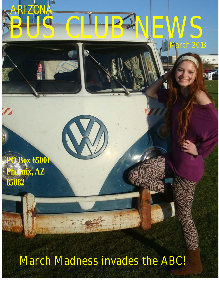

March Madness invades the ABC!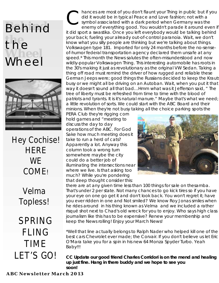# **Behind the** the<br>Wheel Wheel



Hey Cochise! **HERE WF** COME!

> Velma Topless!

SPRING FLING TIME LET'S GO!

Communication is a most of you don't flaunt your Thing in public but if you did it would be in typical Peace and Love fashion; not with a symbol associated with a dark period when Germany was the enemy of everything apped. enemy of everything good. You wouldn't parade it around even if it did sport a swastika. Once you left everybody would be talking behind your back; fueling your already out-of-control paranoia. Wait, we don't know what you silly people are thinking but we're talking about things. Volkswagen type 181. Imported for only 24 months before the no-senseof-humor federal transportation agency declared them unsafe at any speed.\* This month the News salutes the often-misunderstood and now wildly-popular Volkswagen Thing. This interesting automobile has roots in the 30's making it just as revolutionary as the original VW Sedan. Taking a thing off road must remind the driver of how rugged and reliable these German Jeeps were; good things the Russians decided to keep the Krauts busy or we might all be driving on an Autoban. Wait, when you put it that way it doesn't sound all that bad…Hmm what was it Jefferson said, " The tree of liberty must be refreshed from time to time with the blood of patriots and tyrants. It is it's natural manure." Maybe that's what we need; a little revolution of sorts. We could start with the ABC Board and their

minions. When they're not busy taking all the choice parking spots the PERA Club they're rigging corn hold games and "meeting to discuss the day to day operations of the ABC. For God Sake how much meeting does it take to run a herd of cats? Apparently a lot. Anyway this column took a wrong turn somewhere maybe the city could do a better job of illuminating the intersections near where we live. Is that asking too much? While you're pondering that deep thought consider this:



there are at any given time less than 100 things for sale on thesamba. That's under 2 per state. Not many chances to go kick tires so if you have your eye on one go get it and don't look back. You won't regret it; have you ever ridden in one and Not smiled? We know Roy Jonas smiles when he rides around in his thing known as Velma and we included a rather risqué shot next to Chad's old wreck for you to enjoy. Who says high class journalism like this has to be expensive? Renew your membership and keep the News rolling! Enjoy your March News!

\*Well that line actually belongs to Ralph Nader who helped kill one of the best cars Chevrolet ever made; the Corvair. If you don't believe us let Eric O'Mara take you for a spin in his new 64 Monza Spyder Turbo. Yeah Baby!!!

**CC Update our good friend Charles Corridori is on the mend and healing up just fine. Hang in there buddy and we hope to see you soon!**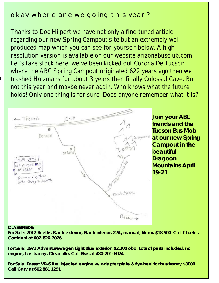#### okay where are we going this year?

where the ABC Spring Campout originated 622 years ago then we Thanks to Doc Hilpert we have not only a fine-tuned article regarding our new Spring Campout site but an extremely wellproduced map which you can see for yourself below. A highresolution version is available on our website arizonabusclub.com Let's take stock here; we've been kicked out Corona De Tucson trashed Holzmans for about 3 years then finally Colossal Cave. But not this year and maybe never again. Who knows what the future holds! Only one thing is for sure. Does anyone remember what it is?



**Join your ABC friends and the Tucson Bus Mob at our new Spring Campout in the beautiful Dragoon Mountains April 19-21**

#### **CLASSIFIEDS:**

 $\mathcal{S}_{\mathcal{C}}$ 

**For Sale: 2012 Beetle. Black exterior, Black interior. 2.5L, manual, 6k mi. \$18,500 Call Charles Corridorri at 602-826-7076**

**For Sale: 1971 Adventurewagen Light Blue exterior. \$2.300 obo. Lots of parts included. no engine, has tranny. Clear title. Call Elvis at 480-201-6024**

**For Sale Passat VR-6 fuel injected engine w/ adapter plate & flywheel for bus tranny \$3000 Call Gary at 602 881 1291**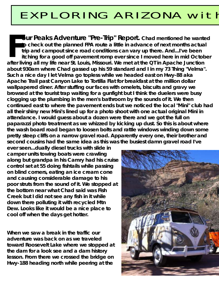## EXPLORING ARIZONA with

**our Peaks Adventure "Pre-Trip" Report.** Chad mentioned he wanted to check out the planned FPA route a little in advance of next months actual **Sour Peaks Adventure "Pre-Trip" Report.** Chad mentioned he wanted<br>to check out the planned FPA route a little in advance of next months actual<br>trip and campout since road conditions can vary up there. And...I've been<br>itch after living all my life near St. Louis, Missouri. We met at the QT in Apache Junction **0489ca6.jpg about 930am where Chad gassed up his 59 standard and I in my 73 Thing "Velma". Such a nice day I let Velma go topless while we headed east on Hwy-88 aka**  Apache Trail past Canyon Lake to Tortilla Flat for breakfast at the million dollar wallpapered diner. After stuffing our faces with omelets, biscuits and gravy we browsed at the tourist trap waiting for a gunfight but I think the duelers were busy clogging up the plumbing in the men's bathroom by the sounds of it. We then continued east to where the pavement ends but we noticed the local "Mini" club had **all their shiny new Mini's lined up for a photo shoot with one actual original Mini in**  attendance. I would guess about a dozen were there and we got the full on paparazzi photo treatment as we whizzed by kicking up dust. So this is about where the wash board road began to loosen bolts and rattle windows winding down some pretty steep cliffs on a narrow gravel road. Apparently every one, their brother and second cousins had the same idea as this was the busiest damn gravel road I've

**boulders exponentionally diesel trucks with slide in** camper units towing boats were crawling **along but grandpa in his Camry had his cruise control set at 55 doing fishtails while passing**  on blind corners, eating an ice cream cone and causing considerable damage to his poor struts from the sound of it. We stopped at the bottom near what Chad said was Fish **Creek but I did not see any fish in it while** down there polluting it with recycled Mtn Dew. Looks like it would be a nice place to cool off when the days get hotter.

**When we saw a break in the traffic our. adventure was back on as we traveled toward Roosevelt Lake where we stopped at the dam for a look see and a dam history lesson. From there we crossed the bridge on Hwy-188 heading north while peering at the** 

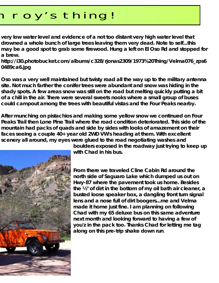## roy's thing!

very low water level and evidence of a not too distant very high water level that drowned a whole bunch of large trees leaving them very dead. Note to self...this may be a good spot to grab some firewood. Hung a left on El Oso Rd and stopped for very low water level and evidence of a not too distant very high water level that<br>drowned a whole bunch of large trees leaving them very dead. Note to self...this<br>may be a good spot to grab some firewood. Hung a left on El

http://i30.photobucket.com/albums/c328/rjonas2309/1973%20Thing/Velma076\_zps6<br>0489ca6.jpg **0489ca6.jpg** 

> **Apache Trail past Canyon Lake to Tortilla Flat for breakfast at the million dollar Oso was a very well maintained but twisty road all the way up to the military antenna**  site. Not much farther the conifer trees were abundant and snow was hiding in the shady spots. A few areas snow was still on the road but melting quickly putting a bit of a chill in the air. There were several sweets nooks where a small group of buses could campout among the trees with beautiful vistas and the Four Peaks nearby.

> After munching on pistachios and making some yellow snow we continued on Four Peaks Trail then Lone Pine Trail where the road condition deteriorated. This side of the mountain had packs of quads and side by sides with looks of amazement on their faces seeing a couple 40+ year old 2WD VW's heading at them. With excellent scenery all around, my eyes were glued to the road negotiating washes and



**boulders exposed in the roadway just trying to keep up with Chad in his bus.** 

From there we traveled Cline Cabin Rd around the **north side of Saguaro Lake which dumped us out on** Hwy-87 where the pavement took us home. Besides the  $\frac{1}{2}$ " of dirt in the bottom of my oil bath air cleaner, a busted loose speaker box, a dangling front turn signal lens and a nose full of dirt boogers...me and Velma made it home just fine. I am planning on following Chad with my 65 deluxe bus on this same adventure. **next month and looking forward to having a few of you'z in the pack too. Thanks Chad for letting me tag**  along on this pre-trip shake down run.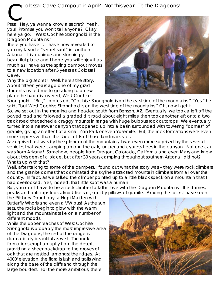Pssst! Hey, ya wanna know a secret? Yeah, you! Promise you won't tell anyone? Okay, here ya go: "West Cochise Stronghold in the Dragoon Mountains."

There you have it. I have now revealed to you my favorite "secret spot" in southern Arizona. It is a unique and stunningly beautiful place and I hope you will enjoy it as much as I have as the spring campout moves to a new location after 5 years at Colossal<br>Cave.

Why the big secret? Well, here's the story: About fifteen years ago one of my grad



place he had discovered, West Cochise the site or anywhere nearby so bring plenty. Restriction of the site of  $\overline{\mathbb{R}}$ Stronghold. "But," I protested, "Cochise Stronghold is on the east side of the mountains." "Yes," he said, "but West Cochise Stronghold is on the west side of the mountains." Oh, now I get it. So, we set out in the morning and headed south from Benson, AZ. Eventually, we took a left off the paved road and followed a graded dirt road about eight miles, then took another left onto a two track road that skirted a craggy mountain range with huge bulbous rock outcrops. We eventually turned into a narrower canyon that opened up into a basin surrounded with towering "domes" of granite, giving an effect of a small Zion Park or even Yosemite. But, the rock formations were even more impressive than the sheer cliffs of those landmark sites.

As surprised as I was by the splendor of the mountains, I was even more surprised by the several vehicles that were camping among the oak, juniper and cypress trees in the canyon. Not one car was from Arizona! Somehow, people from Oregon, Colorado, California and even Maryland knew about this gem of a place, but after 30 years camping throughout southern Arizona I did not?<br>What's up with that? What's up with that? (north) on Middlemarch Rd. It is well marked. Continue north on Middlemarch Rd. for about 8  $\alpha$ 

Well, after talking to some of the campers, I found out what the story was – they were rock climbers and the granite domes that dominated the skyline attracted mountain climbers from all over the country. In fact, as we talked the climber pointed up to a little black speck on a mountain that I had overlooked. Yes, indeed, that little spot was a human!

But, you don't have to be a rock climber to fall in love with the Dragoon Mountains. The domes, peaks and outcrops look almost like soft, squishy pillows of granite. Among the rocks I have seen

the Pillsbury Doughboy, a Hopi Maiden with Butterfly Whorls and even a VW bus! As the sun sets, the rocks begin to glow with the warm light and the mountains take on a number of different moods.

While the upper reaches of West Cochise<br>Stronghold is probably the most impressive area of the Dragoons, the rest of the range is dramatically beautiful as well. The rock formations erupt abruptly from the desert, providing a sheer backdrop to the groves of providing a sheep to the sheep on the dependent only cook that are nestled amongst the ridges. At 4000' elevation, the flora is lush and trails wind along the base of the cliffs and through the large boulders. For the more ambitious, there

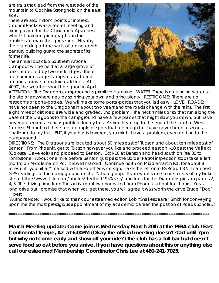are trails that lead from the west side of the<br>mountain to Cochise Stronghold on the east are trails that lead from the west side of the<br>mountain to Cochise Stronghold on the east<br>side.<br>There are also historic points of interest.

There are also historic points of interest. Council Rocks was a secret meeting and hiding place for the Chiricahua Apaches, who left painted pictographs on the boulders to mark their presence. Nearby, the crumbling adobe walls of a nineteenthcentury building quard the secrets of its former life.

The annual bus club Southern Arizona Campout will be held at a large grove of oaks protected by two rock ridges. There are numerous large campsites scattered among a grove of mature oak trees. At 4000', the weather should be good in April.



ATTENTION: The Dragoon campground is primitive camping. WATER: There is no running water at the site or anywhere nearby so bring your own and bring plenty. RESTROOMS: There are no restrooms or porta-potties. We will make some porta-potties that you ladies will LOVE! ROADS: I have not been to the Dragoons in about two years and the roads change with the rains. The first eight miles of dirt road are wide and graded ... no problem. The next 4 miles or so that run along the base of the Dragoons to the campground have a few places that might slow you down, but have never presented a serious problem for my bus. As you head up to the end of the road at West Cochise Stronghold there are a couple of spots that are rough but have never been a serious challenge to my bus. BUT, if your bus is lowered, you might have a problem, even getting to the campground.

DIRECTIONS: The Dragoons are located about 60 miles east of Tucson and about ten miles east of Benson. From Phoenix, get to Tucson however you like and proceed east on I-10 past the Vail exit (Colossal Cave exit) and proceed to Benson. Exit I-10 at Benson and head south on Rte 80 to Tombstone. About one mile before Benson (just past the Border Patrol inspection stop) take a left (north) on Middlemarch Rd. It is well marked. Continue north on Middlemarch Rd. for about 8 miles until you hit a Y marked with a Forest Service sign. Take the left onto FS Road 687. I can post GPS readings for the campground on the Yahoo group. If you want some more pics, visit my flickr site at http://www.flickr.com/photos/dedhed1950/sets/ and look for the Dragoons pics on pages 2, 4, 5. The driving time from Tucson is about two hours and from Phoenix, about four hours. Yes, a long drive but I promise that when you get there, you will agree it was worth the drive.Bruce "Doc" hilpert<br>
Hilpert

[Author's Note: I would like to thank our esteemed editor, Bob "Shakespeare" Smith for conveying upon me the most prestigious appointment of my academic career, the position of Roads Scholar.]

**\*\*\*\*\*\*\*\*\*\*\*\*\*\*\*\*\*\*\*\*\*\*\*\*\*\*\*\*\*\*\*\*\*\*\*\*\*\*\*\*\*\*\*\*\*\*\*\*\*\*\*\*\*\*\*\*\*\*\*\*\*\*\*\*\*\*\*\*\*\*\*\*\*\*\*\*\*\*\*\*\*\*\*\*\*\*\*\*\*\*\*\*\*\*\*\*\*\*\*\*\*\*\*\*\*\***

March Meeting update: Come join us Wednesday March 20th at the PERA club ! East Continental Tempe, Az at 6:00PM (Okay the official meeting doesn't start until 7pm but why not come early and show off your ride?) the club has a full bar but doesn't serve food so eat before you arrive. If you have questions about this or anything else call our esteemed Membership Coordinator Chris Lee at 480-241-7025.